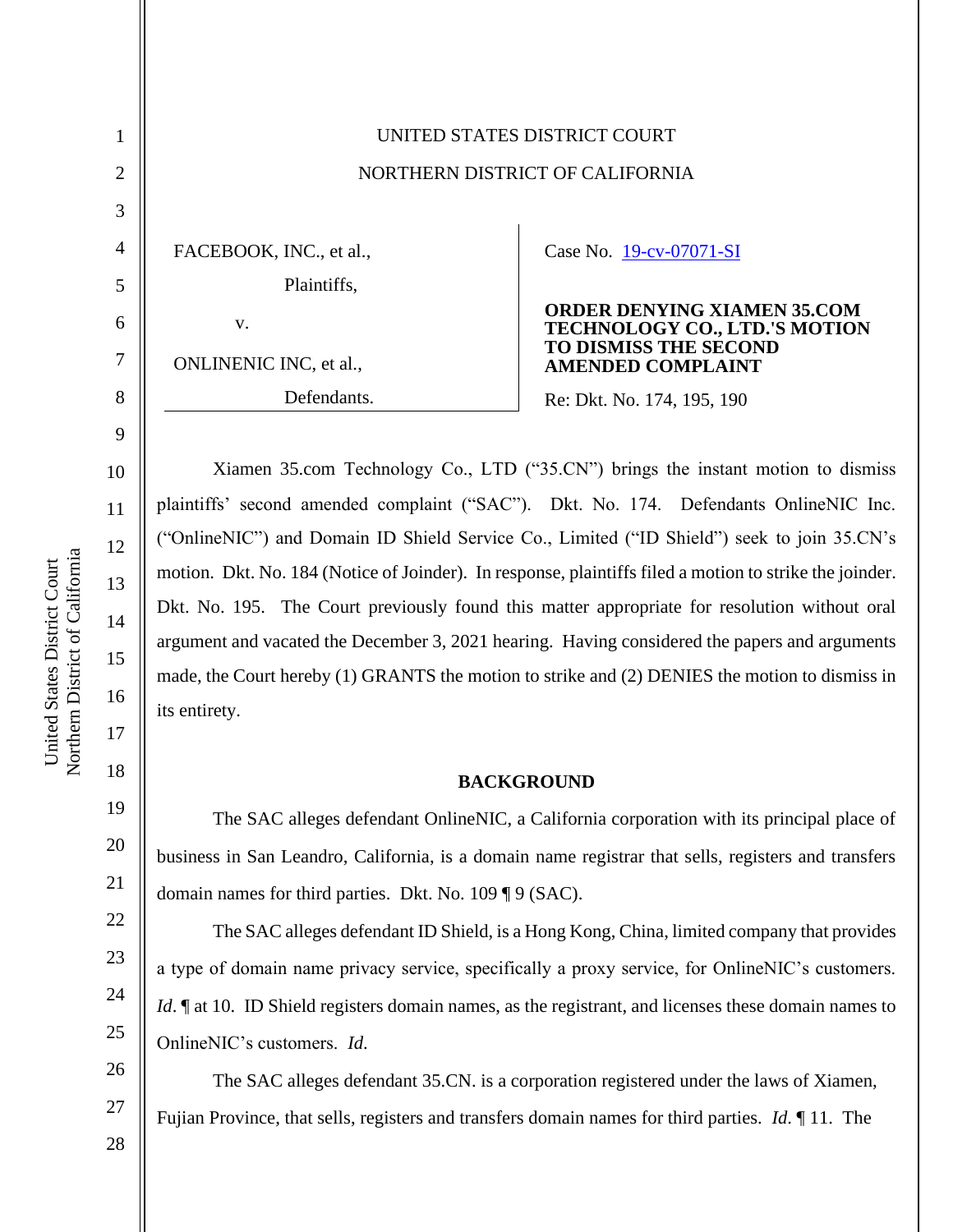|                | UNITED STATES DISTRICT COURT    |                                                                            |
|----------------|---------------------------------|----------------------------------------------------------------------------|
| $\overline{2}$ | NORTHERN DISTRICT OF CALIFORNIA |                                                                            |
| 3              |                                 |                                                                            |
| 4              | FACEBOOK, INC., et al.,         | Case No. 19-cv-07071-SI                                                    |
| 5              | Plaintiffs,                     |                                                                            |
| 6              | V.                              | <b>ORDER DENYING XIAMEN 35.COM</b><br><b>TECHNOLOGY CO., LTD.'S MOTION</b> |
| 7              | ONLINENIC INC, et al.,          | <b>TO DISMISS THE SECOND</b><br><b>AMENDED COMPLAINT</b>                   |
| 8              | Defendants.                     | Re: Dkt. No. 174, 195, 190                                                 |
|                |                                 |                                                                            |

Xiamen 35.com Technology Co., LTD ("35.CN") brings the instant motion to dismiss plaintiffs' second amended complaint ("SAC"). Dkt. No. 174. Defendants OnlineNIC Inc. ("OnlineNIC") and Domain ID Shield Service Co., Limited ("ID Shield") seek to join 35.CN's motion. Dkt. No. 184 (Notice of Joinder). In response, plaintiffs filed a motion to strike the joinder. Dkt. No. 195. The Court previously found this matter appropriate for resolution without oral argument and vacated the December 3, 2021 hearing. Having considered the papers and arguments made, the Court hereby (1) GRANTS the motion to strike and (2) DENIES the motion to dismiss in its entirety.

#### **BACKGROUND**

The SAC alleges defendant OnlineNIC, a California corporation with its principal place of business in San Leandro, California, is a domain name registrar that sells, registers and transfers domain names for third parties. Dkt. No. 109 ¶ 9 (SAC).

The SAC alleges defendant ID Shield, is a Hong Kong, China, limited company that provides a type of domain name privacy service, specifically a proxy service, for OnlineNIC's customers. *Id*. If at 10. ID Shield registers domain names, as the registrant, and licenses these domain names to OnlineNIC's customers. *Id*.

The SAC alleges defendant 35.CN. is a corporation registered under the laws of Xiamen, Fujian Province, that sells, registers and transfers domain names for third parties. *Id*. ¶ 11. The

9

10

11

12

13

14

15

16

17

18

19

20

26

27

28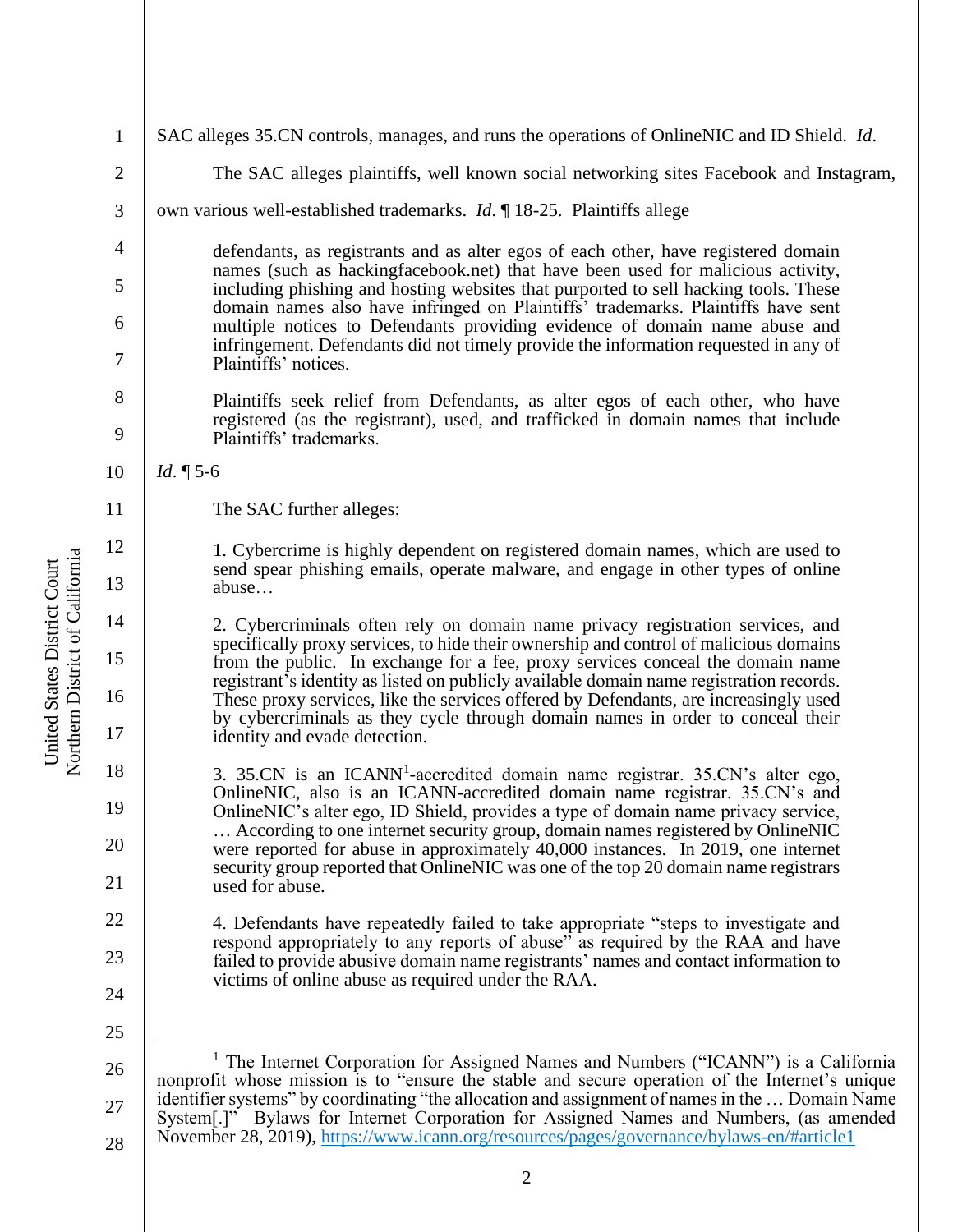| $\mathbf{1}$   | SAC alleges 35.CN controls, manages, and runs the operations of OnlineNIC and ID Shield. <i>Id.</i>                                                                                                                                                                                                                                                                  |  |
|----------------|----------------------------------------------------------------------------------------------------------------------------------------------------------------------------------------------------------------------------------------------------------------------------------------------------------------------------------------------------------------------|--|
| $\overline{c}$ | The SAC alleges plaintiffs, well known social networking sites Facebook and Instagram,                                                                                                                                                                                                                                                                               |  |
| $\mathfrak{Z}$ | own various well-established trademarks. <i>Id.</i> 18-25. Plaintiffs allege                                                                                                                                                                                                                                                                                         |  |
| $\overline{4}$ | defendants, as registrants and as alter egos of each other, have registered domain<br>names (such as hackingfacebook.net) that have been used for malicious activity,                                                                                                                                                                                                |  |
| 5              | including phishing and hosting websites that purported to sell hacking tools. These<br>domain names also have infringed on Plaintiffs' trademarks. Plaintiffs have sent<br>multiple notices to Defendants providing evidence of domain name abuse and<br>infringement. Defendants did not timely provide the information requested in any of<br>Plaintiffs' notices. |  |
| 6              |                                                                                                                                                                                                                                                                                                                                                                      |  |
| 7              |                                                                                                                                                                                                                                                                                                                                                                      |  |
| 8              | Plaintiffs seek relief from Defendants, as alter egos of each other, who have<br>registered (as the registrant), used, and trafficked in domain names that include<br>Plaintiffs' trademarks.                                                                                                                                                                        |  |
| 9              |                                                                                                                                                                                                                                                                                                                                                                      |  |
| 10             | <i>Id.</i> $\P$ 5-6                                                                                                                                                                                                                                                                                                                                                  |  |
| 11             | The SAC further alleges:                                                                                                                                                                                                                                                                                                                                             |  |
| 12             | 1. Cybercrime is highly dependent on registered domain names, which are used to                                                                                                                                                                                                                                                                                      |  |
| 13             | send spear phishing emails, operate malware, and engage in other types of online<br>abuse                                                                                                                                                                                                                                                                            |  |
| 14             | 2. Cybercriminals often rely on domain name privacy registration services, and                                                                                                                                                                                                                                                                                       |  |
| 15             | specifically proxy services, to hide their ownership and control of malicious domains<br>from the public. In exchange for a fee, proxy services conceal the domain name                                                                                                                                                                                              |  |
| 16             | registrant's identity as listed on publicly available domain name registration records.<br>These proxy services, like the services offered by Defendants, are increasingly used                                                                                                                                                                                      |  |
| 17             | by cybercriminals as they cycle through domain names in order to conceal their<br>identity and evade detection.                                                                                                                                                                                                                                                      |  |
| 18             | 3. 35.CN is an ICANN <sup>1</sup> -accredited domain name registrar. 35.CN's alter ego,                                                                                                                                                                                                                                                                              |  |
| 19             | OnlineNIC, also is an ICANN-accredited domain name registrar. 35.CN's and<br>OnlineNIC's alter ego, ID Shield, provides a type of domain name privacy service,                                                                                                                                                                                                       |  |
| 20             | According to one internet security group, domain names registered by OnlineNIC<br>were reported for abuse in approximately 40,000 instances. In 2019, one internet                                                                                                                                                                                                   |  |
| 21             | security group reported that OnlineNIC was one of the top 20 domain name registrars<br>used for abuse.                                                                                                                                                                                                                                                               |  |
| 22             | 4. Defendants have repeatedly failed to take appropriate "steps to investigate and<br>respond appropriately to any reports of abuse" as required by the RAA and have<br>failed to provide abusive domain name registrants' names and contact information to                                                                                                          |  |
| 23             |                                                                                                                                                                                                                                                                                                                                                                      |  |
| 24             | victims of online abuse as required under the RAA.                                                                                                                                                                                                                                                                                                                   |  |
| 25             |                                                                                                                                                                                                                                                                                                                                                                      |  |
| 26             | <sup>1</sup> The Internet Corporation for Assigned Names and Numbers ("ICANN") is a California                                                                                                                                                                                                                                                                       |  |
| 27             | nonprofit whose mission is to "ensure the stable and secure operation of the Internet's unique<br>identifier systems" by coordinating "the allocation and assignment of names in the  Domain Name                                                                                                                                                                    |  |
| 28             | System[.]" Bylaws for Internet Corporation for Assigned Names and Numbers, (as amended<br>November 28, 2019), https://www.icann.org/resources/pages/governance/bylaws-en/#article1                                                                                                                                                                                   |  |
|                |                                                                                                                                                                                                                                                                                                                                                                      |  |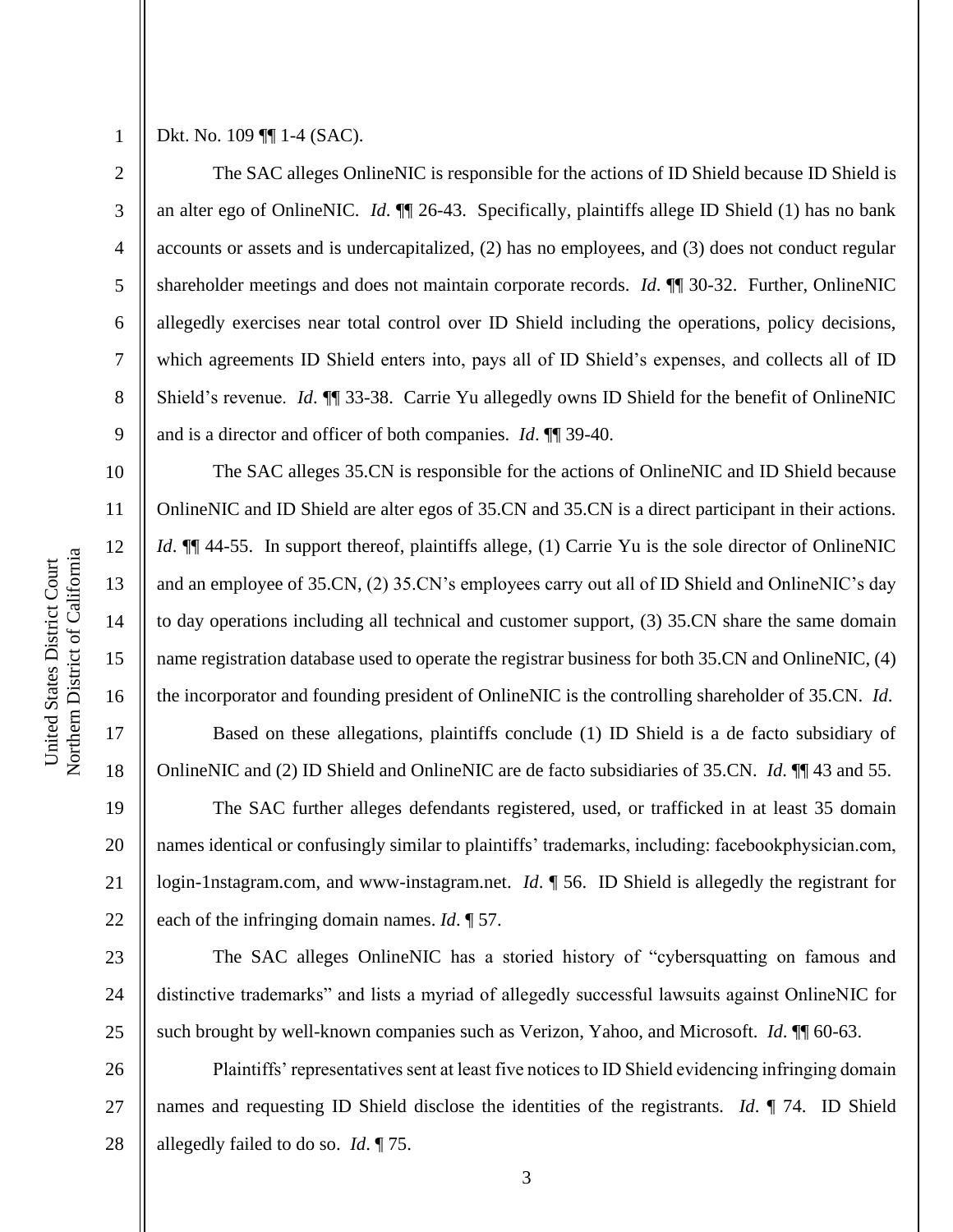3

4

5

6

7

8

9

10

11

12

13

14

15

16

17

18

19

20

21

22

23

24

25

Dkt. No. 109 ¶¶ 1-4 (SAC).

The SAC alleges OnlineNIC is responsible for the actions of ID Shield because ID Shield is an alter ego of OnlineNIC. *Id*. ¶¶ 26-43. Specifically, plaintiffs allege ID Shield (1) has no bank accounts or assets and is undercapitalized, (2) has no employees, and (3) does not conduct regular shareholder meetings and does not maintain corporate records. *Id*. ¶¶ 30-32. Further, OnlineNIC allegedly exercises near total control over ID Shield including the operations, policy decisions, which agreements ID Shield enters into, pays all of ID Shield's expenses, and collects all of ID Shield's revenue. *Id*. ¶¶ 33-38. Carrie Yu allegedly owns ID Shield for the benefit of OnlineNIC and is a director and officer of both companies. *Id*. ¶¶ 39-40.

The SAC alleges 35.CN is responsible for the actions of OnlineNIC and ID Shield because OnlineNIC and ID Shield are alter egos of 35.CN and 35.CN is a direct participant in their actions. *Id*.  $\P$  44-55. In support thereof, plaintiffs allege, (1) Carrie Yu is the sole director of OnlineNIC and an employee of 35.CN, (2) 35.CN's employees carry out all of ID Shield and OnlineNIC's day to day operations including all technical and customer support, (3) 35.CN share the same domain name registration database used to operate the registrar business for both 35.CN and OnlineNIC, (4) the incorporator and founding president of OnlineNIC is the controlling shareholder of 35.CN. *Id*.

Based on these allegations, plaintiffs conclude (1) ID Shield is a de facto subsidiary of OnlineNIC and (2) ID Shield and OnlineNIC are de facto subsidiaries of 35.CN. *Id*. ¶¶ 43 and 55.

The SAC further alleges defendants registered, used, or trafficked in at least 35 domain names identical or confusingly similar to plaintiffs' trademarks, including: facebookphysician.com, login-1nstagram.com, and www-instagram.net. *Id*. ¶ 56. ID Shield is allegedly the registrant for each of the infringing domain names. *Id*. ¶ 57.

The SAC alleges OnlineNIC has a storied history of "cybersquatting on famous and distinctive trademarks" and lists a myriad of allegedly successful lawsuits against OnlineNIC for such brought by well-known companies such as Verizon, Yahoo, and Microsoft. *Id*. ¶¶ 60-63.

26 27 28 Plaintiffs' representatives sent at least five notices to ID Shield evidencing infringing domain names and requesting ID Shield disclose the identities of the registrants. *Id*. ¶ 74. ID Shield allegedly failed to do so. *Id*. ¶ 75.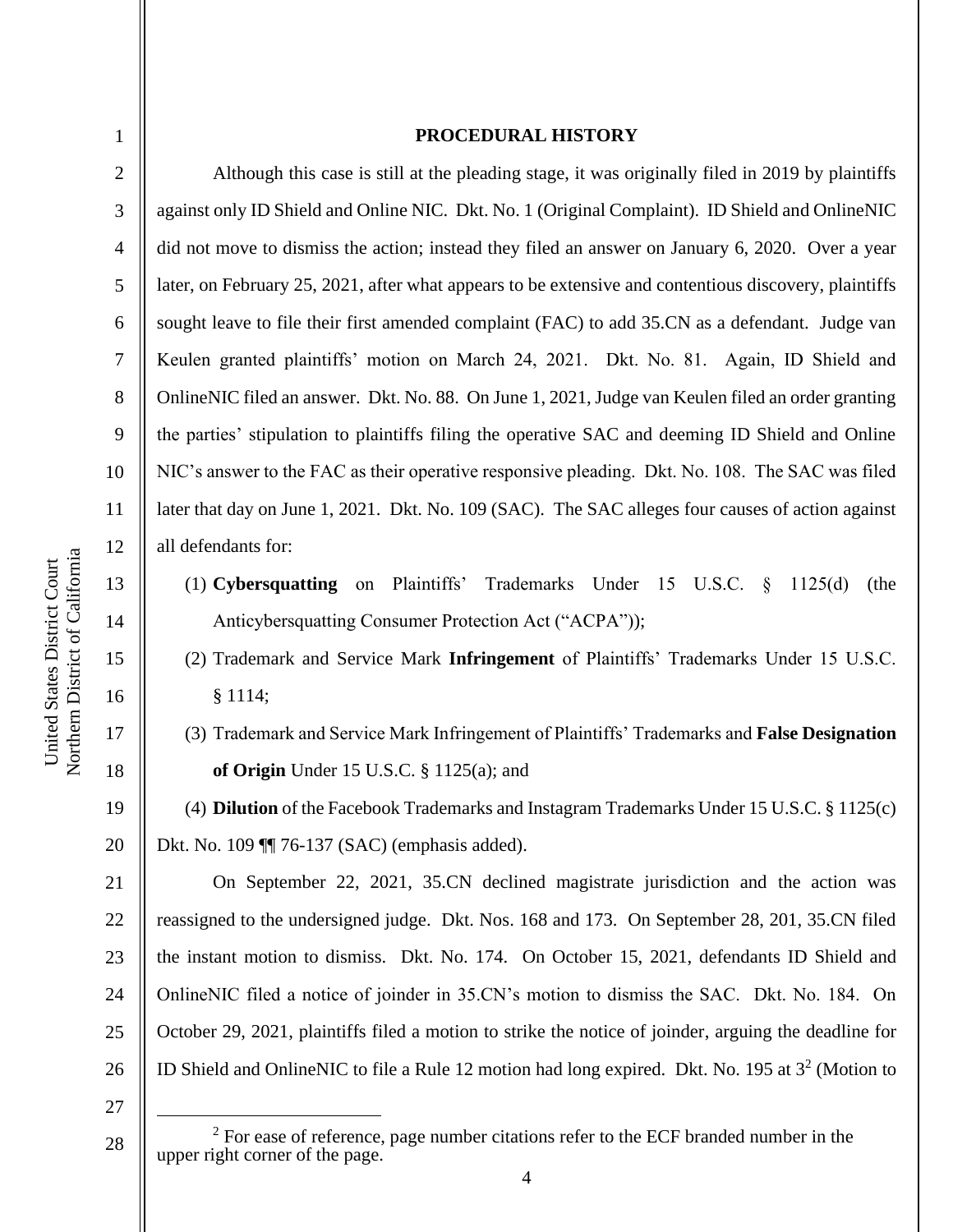3

4

5

6

7

8

9

10

11

12

13

14

15

16

17

18

19

20

#### **PROCEDURAL HISTORY**

Although this case is still at the pleading stage, it was originally filed in 2019 by plaintiffs against only ID Shield and Online NIC. Dkt. No. 1 (Original Complaint). ID Shield and OnlineNIC did not move to dismiss the action; instead they filed an answer on January 6, 2020. Over a year later, on February 25, 2021, after what appears to be extensive and contentious discovery, plaintiffs sought leave to file their first amended complaint (FAC) to add 35.CN as a defendant. Judge van Keulen granted plaintiffs' motion on March 24, 2021. Dkt. No. 81. Again, ID Shield and OnlineNIC filed an answer. Dkt. No. 88. On June 1, 2021, Judge van Keulen filed an order granting the parties' stipulation to plaintiffs filing the operative SAC and deeming ID Shield and Online NIC's answer to the FAC as their operative responsive pleading. Dkt. No. 108. The SAC was filed later that day on June 1, 2021. Dkt. No. 109 (SAC). The SAC alleges four causes of action against all defendants for:

- (1) **Cybersquatting** on Plaintiffs' Trademarks Under 15 U.S.C. § 1125(d) (the Anticybersquatting Consumer Protection Act ("ACPA"));
- (2) Trademark and Service Mark **Infringement** of Plaintiffs' Trademarks Under 15 U.S.C. § 1114;
- (3) Trademark and Service Mark Infringement of Plaintiffs' Trademarks and **False Designation of Origin** Under 15 U.S.C. § 1125(a); and

(4) **Dilution** of the Facebook Trademarks and Instagram Trademarks Under 15 U.S.C. § 1125(c) Dkt. No. 109 ¶¶ 76-137 (SAC) (emphasis added).

21 22 23 24 25 26 On September 22, 2021, 35.CN declined magistrate jurisdiction and the action was reassigned to the undersigned judge. Dkt. Nos. 168 and 173. On September 28, 201, 35.CN filed the instant motion to dismiss. Dkt. No. 174. On October 15, 2021, defendants ID Shield and OnlineNIC filed a notice of joinder in 35.CN's motion to dismiss the SAC. Dkt. No. 184. On October 29, 2021, plaintiffs filed a motion to strike the notice of joinder, arguing the deadline for ID Shield and OnlineNIC to file a Rule 12 motion had long expired. Dkt. No. 195 at  $3^2$  (Motion to

27

28

 $2^2$  For ease of reference, page number citations refer to the ECF branded number in the upper right corner of the page.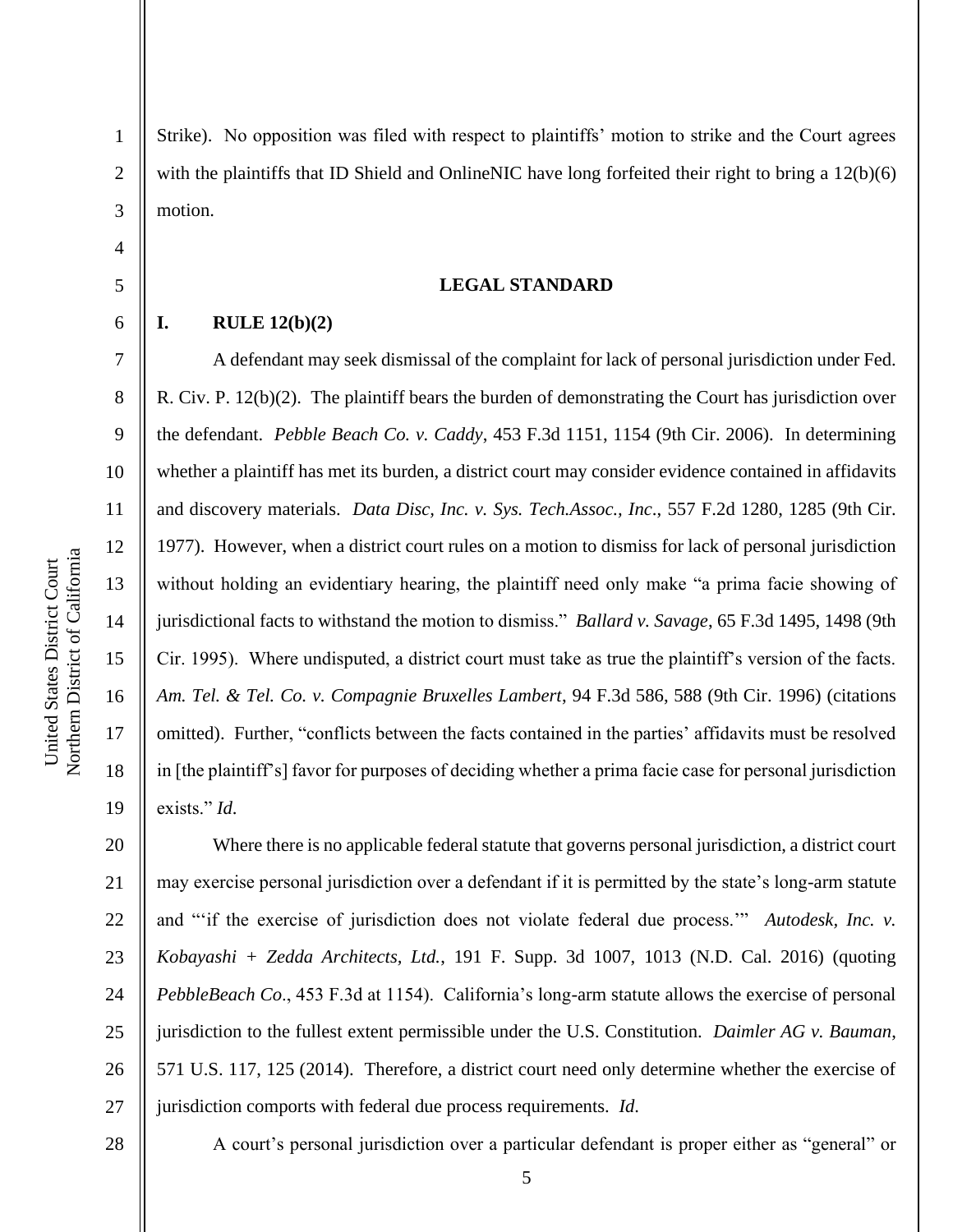2

3

4

5

6

7

8

9

10

11

18

19

Strike). No opposition was filed with respect to plaintiffs' motion to strike and the Court agrees with the plaintiffs that ID Shield and OnlineNIC have long forfeited their right to bring a 12(b)(6) motion.

#### **LEGAL STANDARD**

## **I. RULE 12(b)(2)**

A defendant may seek dismissal of the complaint for lack of personal jurisdiction under Fed. R. Civ. P. 12(b)(2). The plaintiff bears the burden of demonstrating the Court has jurisdiction over the defendant. *Pebble Beach Co. v. Caddy*, 453 F.3d 1151, 1154 (9th Cir. 2006). In determining whether a plaintiff has met its burden, a district court may consider evidence contained in affidavits and discovery materials. *Data Disc, Inc. v. Sys. Tech.Assoc., Inc*., 557 F.2d 1280, 1285 (9th Cir. 1977). However, when a district court rules on a motion to dismiss for lack of personal jurisdiction without holding an evidentiary hearing, the plaintiff need only make "a prima facie showing of jurisdictional facts to withstand the motion to dismiss." *Ballard v. Savage*, 65 F.3d 1495, 1498 (9th Cir. 1995). Where undisputed, a district court must take as true the plaintiff's version of the facts. *Am. Tel. & Tel. Co. v. Compagnie Bruxelles Lambert*, 94 F.3d 586, 588 (9th Cir. 1996) (citations omitted). Further, "conflicts between the facts contained in the parties' affidavits must be resolved in [the plaintiff's] favor for purposes of deciding whether a prima facie case for personal jurisdiction exists." *Id*.

20 21 22 23 24 25 26 27 Where there is no applicable federal statute that governs personal jurisdiction, a district court may exercise personal jurisdiction over a defendant if it is permitted by the state's long-arm statute and "'if the exercise of jurisdiction does not violate federal due process.'" *Autodesk, Inc. v. Kobayashi + Zedda Architects, Ltd.*, 191 F. Supp. 3d 1007, 1013 (N.D. Cal. 2016) (quoting *PebbleBeach Co*., 453 F.3d at 1154). California's long-arm statute allows the exercise of personal jurisdiction to the fullest extent permissible under the U.S. Constitution. *Daimler AG v. Bauman*, 571 U.S. 117, 125 (2014). Therefore, a district court need only determine whether the exercise of jurisdiction comports with federal due process requirements. *Id*.

28

A court's personal jurisdiction over a particular defendant is proper either as "general" or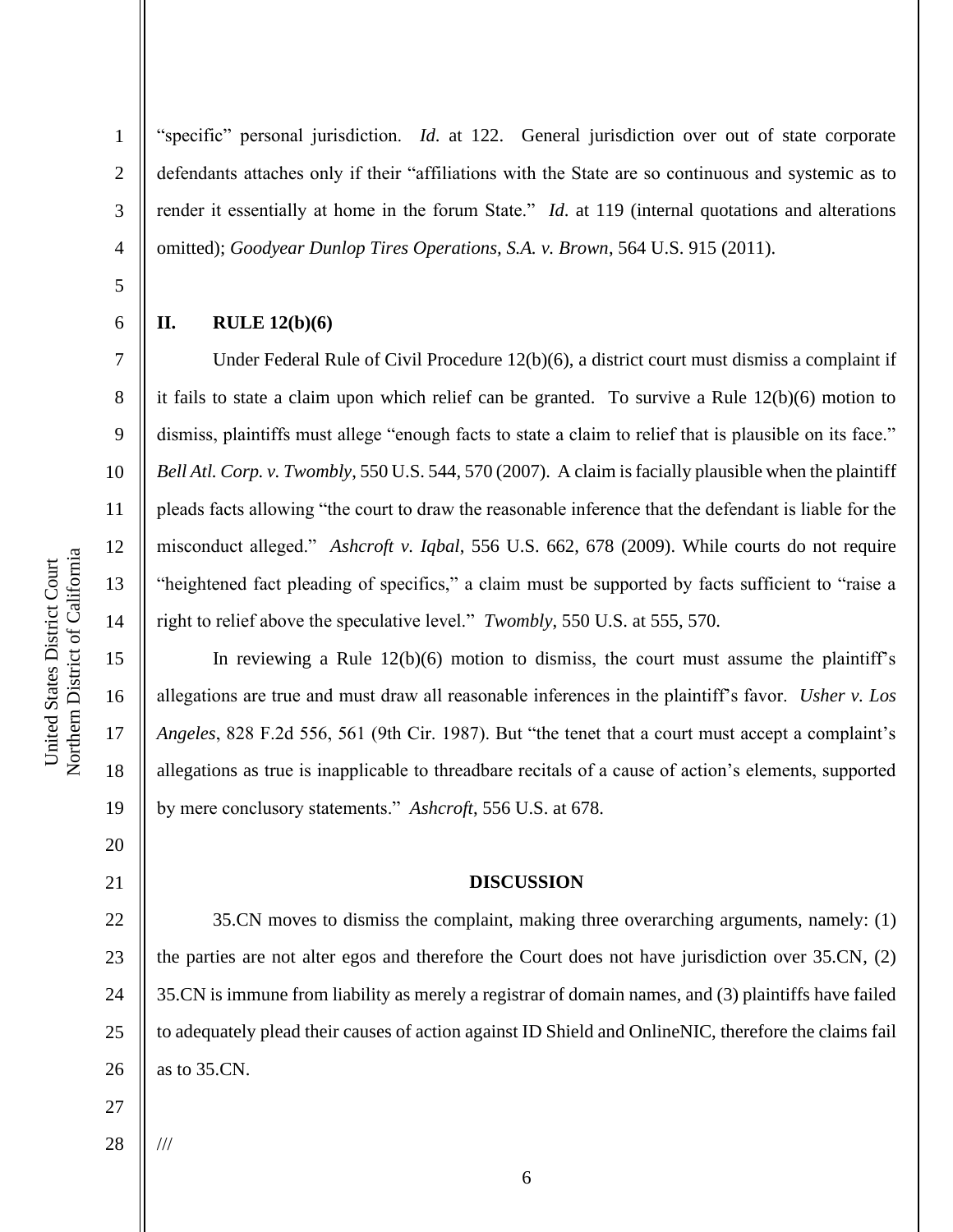"specific" personal jurisdiction. *Id*. at 122. General jurisdiction over out of state corporate defendants attaches only if their "affiliations with the State are so continuous and systemic as to render it essentially at home in the forum State." *Id*. at 119 (internal quotations and alterations omitted); *Goodyear Dunlop Tires Operations, S.A. v. Brown*, 564 U.S. 915 (2011).

6

1

2

3

4

5

7

8

9

10

11

12

13

14

15

16

17

18

19

20

21

#### **II. RULE 12(b)(6)**

Under Federal Rule of Civil Procedure 12(b)(6), a district court must dismiss a complaint if it fails to state a claim upon which relief can be granted. To survive a Rule 12(b)(6) motion to dismiss, plaintiffs must allege "enough facts to state a claim to relief that is plausible on its face." *Bell Atl. Corp. v. Twombly*, 550 U.S. 544, 570 (2007). A claim is facially plausible when the plaintiff pleads facts allowing "the court to draw the reasonable inference that the defendant is liable for the misconduct alleged." *Ashcroft v. Iqbal*, 556 U.S. 662, 678 (2009). While courts do not require "heightened fact pleading of specifics," a claim must be supported by facts sufficient to "raise a right to relief above the speculative level." *Twombly*, 550 U.S. at 555, 570.

In reviewing a Rule  $12(b)(6)$  motion to dismiss, the court must assume the plaintiff's allegations are true and must draw all reasonable inferences in the plaintiff's favor. *Usher v. Los Angeles*, 828 F.2d 556, 561 (9th Cir. 1987). But "the tenet that a court must accept a complaint's allegations as true is inapplicable to threadbare recitals of a cause of action's elements, supported by mere conclusory statements." *Ashcroft*, 556 U.S. at 678.

# **DISCUSSION**

22 23 24 25 26 35.CN moves to dismiss the complaint, making three overarching arguments, namely: (1) the parties are not alter egos and therefore the Court does not have jurisdiction over 35.CN, (2) 35.CN is immune from liability as merely a registrar of domain names, and (3) plaintiffs have failed to adequately plead their causes of action against ID Shield and OnlineNIC, therefore the claims fail as to 35.CN.

27

28 ///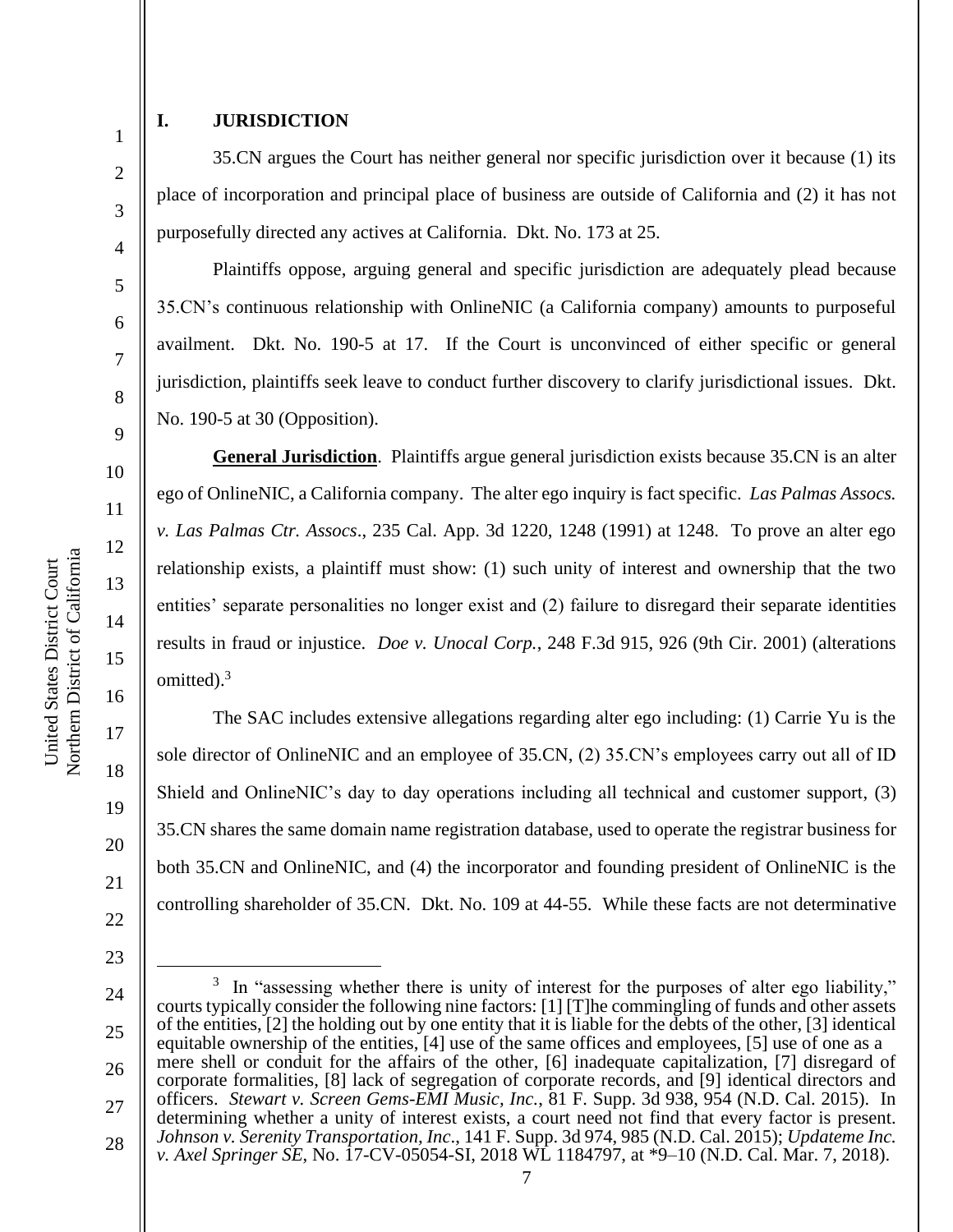3

4

5

6

7

8

9

10

11

12

13

14

15

16

17

18

19

20

21

22

23

# **I. JURISDICTION**

35.CN argues the Court has neither general nor specific jurisdiction over it because (1) its place of incorporation and principal place of business are outside of California and (2) it has not purposefully directed any actives at California. Dkt. No. 173 at 25.

Plaintiffs oppose, arguing general and specific jurisdiction are adequately plead because 35.CN's continuous relationship with OnlineNIC (a California company) amounts to purposeful availment. Dkt. No. 190-5 at 17. If the Court is unconvinced of either specific or general jurisdiction, plaintiffs seek leave to conduct further discovery to clarify jurisdictional issues. Dkt. No. 190-5 at 30 (Opposition).

**General Jurisdiction**. Plaintiffs argue general jurisdiction exists because 35.CN is an alter ego of OnlineNIC, a California company. The alter ego inquiry is fact specific. *Las Palmas Assocs. v. Las Palmas Ctr. Assocs*., 235 Cal. App. 3d 1220, 1248 (1991) at 1248. To prove an alter ego relationship exists, a plaintiff must show: (1) such unity of interest and ownership that the two entities' separate personalities no longer exist and (2) failure to disregard their separate identities results in fraud or injustice. *Doe v. Unocal Corp.*, 248 F.3d 915, 926 (9th Cir. 2001) (alterations omitted). $3$ 

The SAC includes extensive allegations regarding alter ego including: (1) Carrie Yu is the sole director of OnlineNIC and an employee of 35.CN, (2) 35.CN's employees carry out all of ID Shield and OnlineNIC's day to day operations including all technical and customer support, (3) 35.CN shares the same domain name registration database, used to operate the registrar business for both 35.CN and OnlineNIC, and (4) the incorporator and founding president of OnlineNIC is the controlling shareholder of 35.CN. Dkt. No. 109 at 44-55. While these facts are not determinative

<sup>24</sup> 25 26 27 28  $3\,$  In "assessing whether there is unity of interest for the purposes of alter ego liability," courts typically consider the following nine factors: [1] [T]he commingling of funds and other assets of the entities, [2] the holding out by one entity that it is liable for the debts of the other, [3] identical equitable ownership of the entities, [4] use of the same offices and employees, [5] use of one as a mere shell or conduit for the affairs of the other, [6] inadequate capitalization, [7] disregard of corporate formalities, [8] lack of segregation of corporate records, and [9] identical directors and officers. *Stewart v. Screen Gems-EMI Music, Inc.*, 81 F. Supp. 3d 938, 954 (N.D. Cal. 2015). In determining whether a unity of interest exists, a court need not find that every factor is present. *Johnson v. Serenity Transportation, Inc*., 141 F. Supp. 3d 974, 985 (N.D. Cal. 2015); *Updateme Inc. v. Axel Springer SE*, No. 17-CV-05054-SI, 2018 WL 1184797, at \*9–10 (N.D. Cal. Mar. 7, 2018).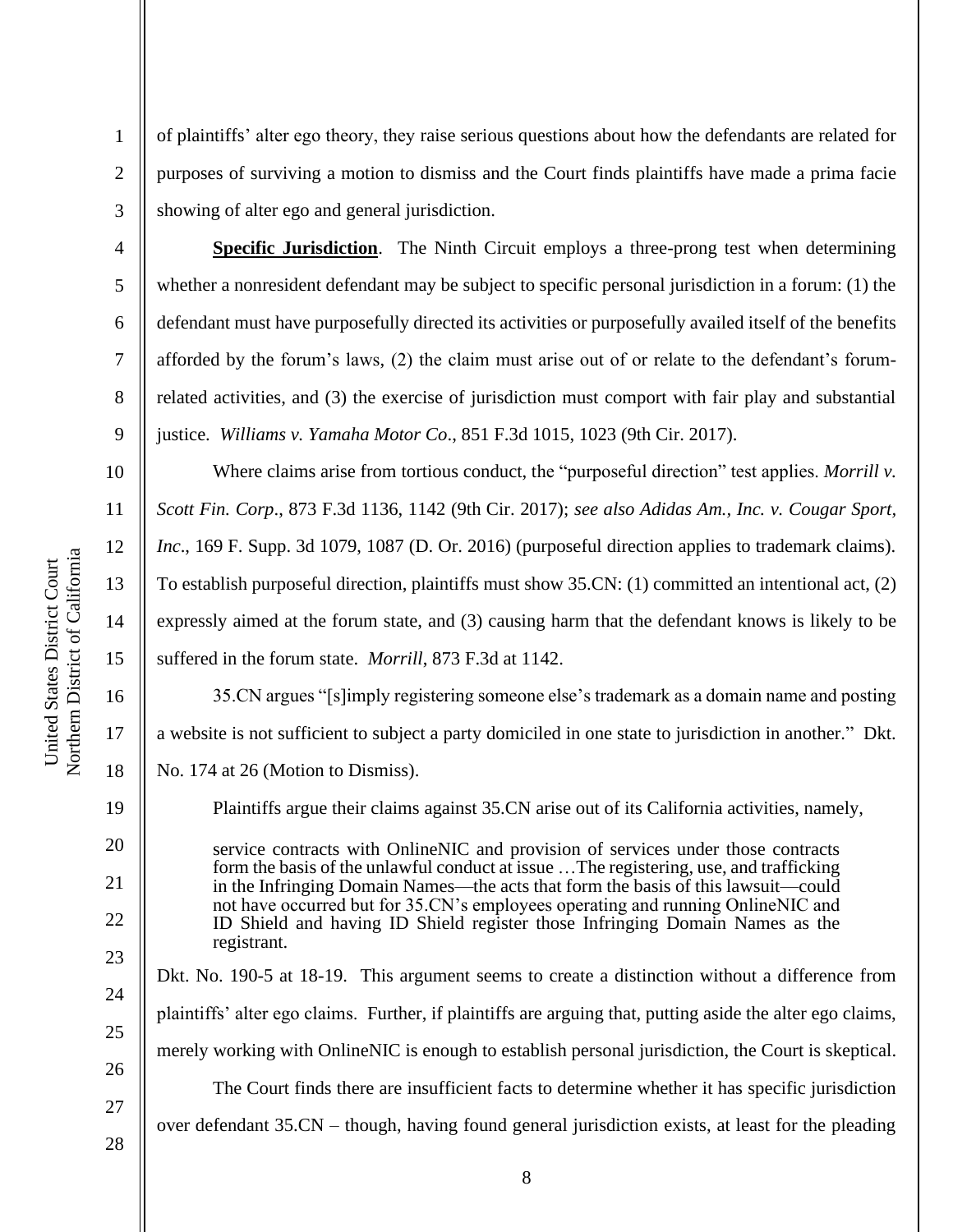purposes of surviving a motion to dismiss and the Court finds plaintiffs have made a prima facie showing of alter ego and general jurisdiction.

1

2

3

4

5

6

7

8

9

10

11

12

13

14

15

16

17

18

19

20

21

22

23

24

25

26

**Specific Jurisdiction**. The Ninth Circuit employs a three-prong test when determining whether a nonresident defendant may be subject to specific personal jurisdiction in a forum: (1) the defendant must have purposefully directed its activities or purposefully availed itself of the benefits afforded by the forum's laws, (2) the claim must arise out of or relate to the defendant's forumrelated activities, and (3) the exercise of jurisdiction must comport with fair play and substantial justice. *Williams v. Yamaha Motor Co*., 851 F.3d 1015, 1023 (9th Cir. 2017).

of plaintiffs' alter ego theory, they raise serious questions about how the defendants are related for

Where claims arise from tortious conduct, the "purposeful direction" test applies. *Morrill v. Scott Fin. Corp*., 873 F.3d 1136, 1142 (9th Cir. 2017); *see also Adidas Am., Inc. v. Cougar Sport, Inc*., 169 F. Supp. 3d 1079, 1087 (D. Or. 2016) (purposeful direction applies to trademark claims). To establish purposeful direction, plaintiffs must show 35.CN: (1) committed an intentional act, (2) expressly aimed at the forum state, and (3) causing harm that the defendant knows is likely to be suffered in the forum state. *Morrill*, 873 F.3d at 1142.

35.CN argues "[s]imply registering someone else's trademark as a domain name and posting a website is not sufficient to subject a party domiciled in one state to jurisdiction in another." Dkt. No. 174 at 26 (Motion to Dismiss).

Plaintiffs argue their claims against 35.CN arise out of its California activities, namely,

service contracts with OnlineNIC and provision of services under those contracts form the basis of the unlawful conduct at issue …The registering, use, and trafficking in the Infringing Domain Names—the acts that form the basis of this lawsuit—could not have occurred but for 35.CN's employees operating and running OnlineNIC and ID Shield and having ID Shield register those Infringing Domain Names as the registrant.

Dkt. No. 190-5 at 18-19. This argument seems to create a distinction without a difference from plaintiffs' alter ego claims. Further, if plaintiffs are arguing that, putting aside the alter ego claims, merely working with OnlineNIC is enough to establish personal jurisdiction, the Court is skeptical. The Court finds there are insufficient facts to determine whether it has specific jurisdiction over defendant 35.CN – though, having found general jurisdiction exists, at least for the pleading

Northern District of California Northern District of California United States District Court United States District Court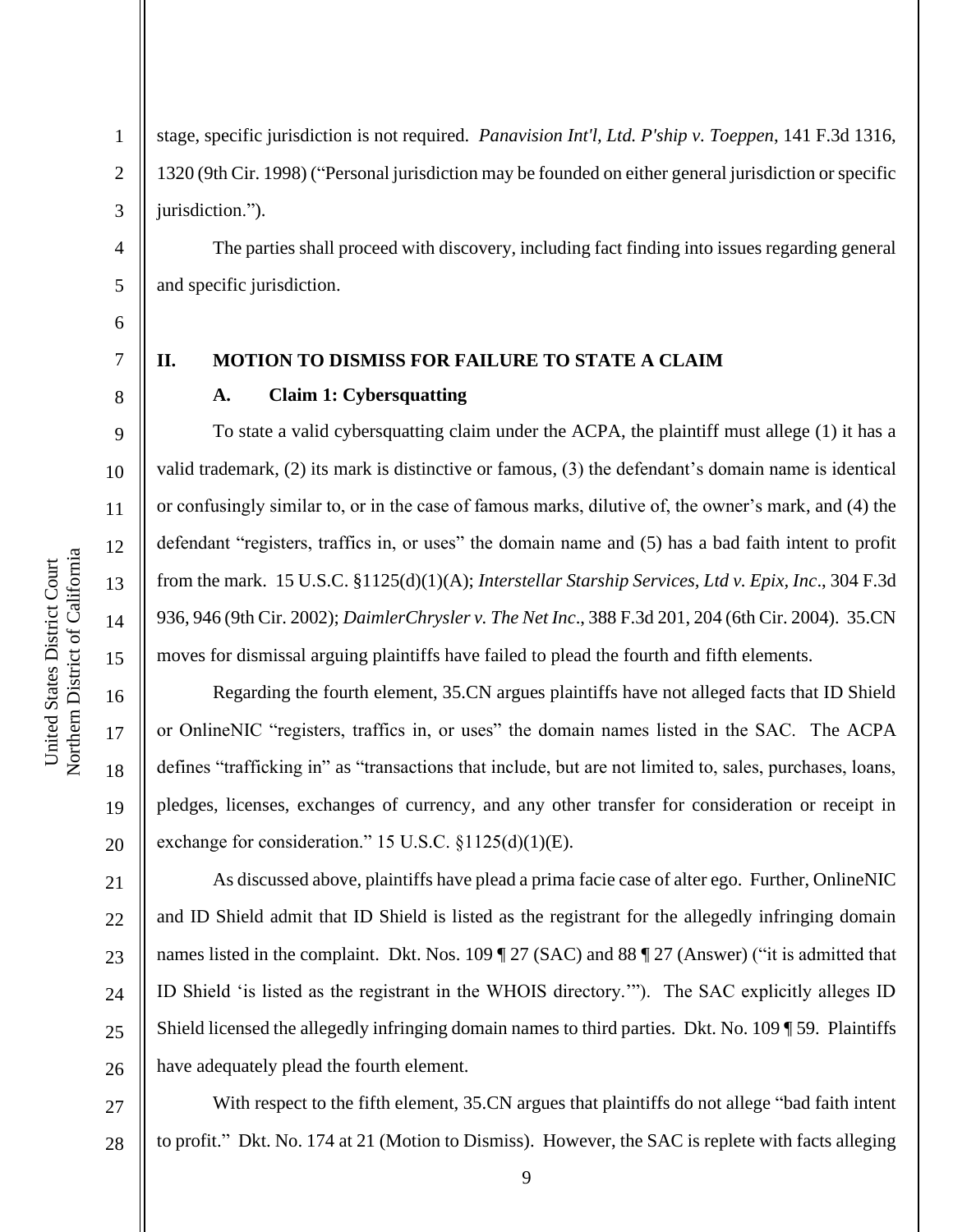4

5

1

stage, specific jurisdiction is not required. *Panavision Int'l, Ltd. P'ship v. Toeppen*, 141 F.3d 1316, 1320 (9th Cir. 1998) ("Personal jurisdiction may be founded on either general jurisdiction or specific jurisdiction.").

The parties shall proceed with discovery, including fact finding into issues regarding general and specific jurisdiction.

6

8

9

10

11

12

13

14

15

16

17

18

19

20

7

# **II. MOTION TO DISMISS FOR FAILURE TO STATE A CLAIM**

## **A. Claim 1: Cybersquatting**

To state a valid cybersquatting claim under the ACPA, the plaintiff must allege (1) it has a valid trademark, (2) its mark is distinctive or famous, (3) the defendant's domain name is identical or confusingly similar to, or in the case of famous marks, dilutive of, the owner's mark, and (4) the defendant "registers, traffics in, or uses" the domain name and (5) has a bad faith intent to profit from the mark. 15 U.S.C. §1125(d)(1)(A); *Interstellar Starship Services, Ltd v. Epix, Inc*., 304 F.3d 936, 946 (9th Cir. 2002); *DaimlerChrysler v. The Net Inc*., 388 F.3d 201, 204 (6th Cir. 2004). 35.CN moves for dismissal arguing plaintiffs have failed to plead the fourth and fifth elements.

Regarding the fourth element, 35.CN argues plaintiffs have not alleged facts that ID Shield or OnlineNIC "registers, traffics in, or uses" the domain names listed in the SAC. The ACPA defines "trafficking in" as "transactions that include, but are not limited to, sales, purchases, loans, pledges, licenses, exchanges of currency, and any other transfer for consideration or receipt in exchange for consideration." 15 U.S.C. §1125(d)(1)(E).

21 22 23 24 25 26 As discussed above, plaintiffs have plead a prima facie case of alter ego. Further, OnlineNIC and ID Shield admit that ID Shield is listed as the registrant for the allegedly infringing domain names listed in the complaint. Dkt. Nos. 109 | 27 (SAC) and 88 | 27 (Answer) ("it is admitted that ID Shield 'is listed as the registrant in the WHOIS directory.'"). The SAC explicitly alleges ID Shield licensed the allegedly infringing domain names to third parties. Dkt. No. 109 ¶ 59. Plaintiffs have adequately plead the fourth element.

27 28 With respect to the fifth element, 35.CN argues that plaintiffs do not allege "bad faith intent to profit." Dkt. No. 174 at 21 (Motion to Dismiss). However, the SAC is replete with facts alleging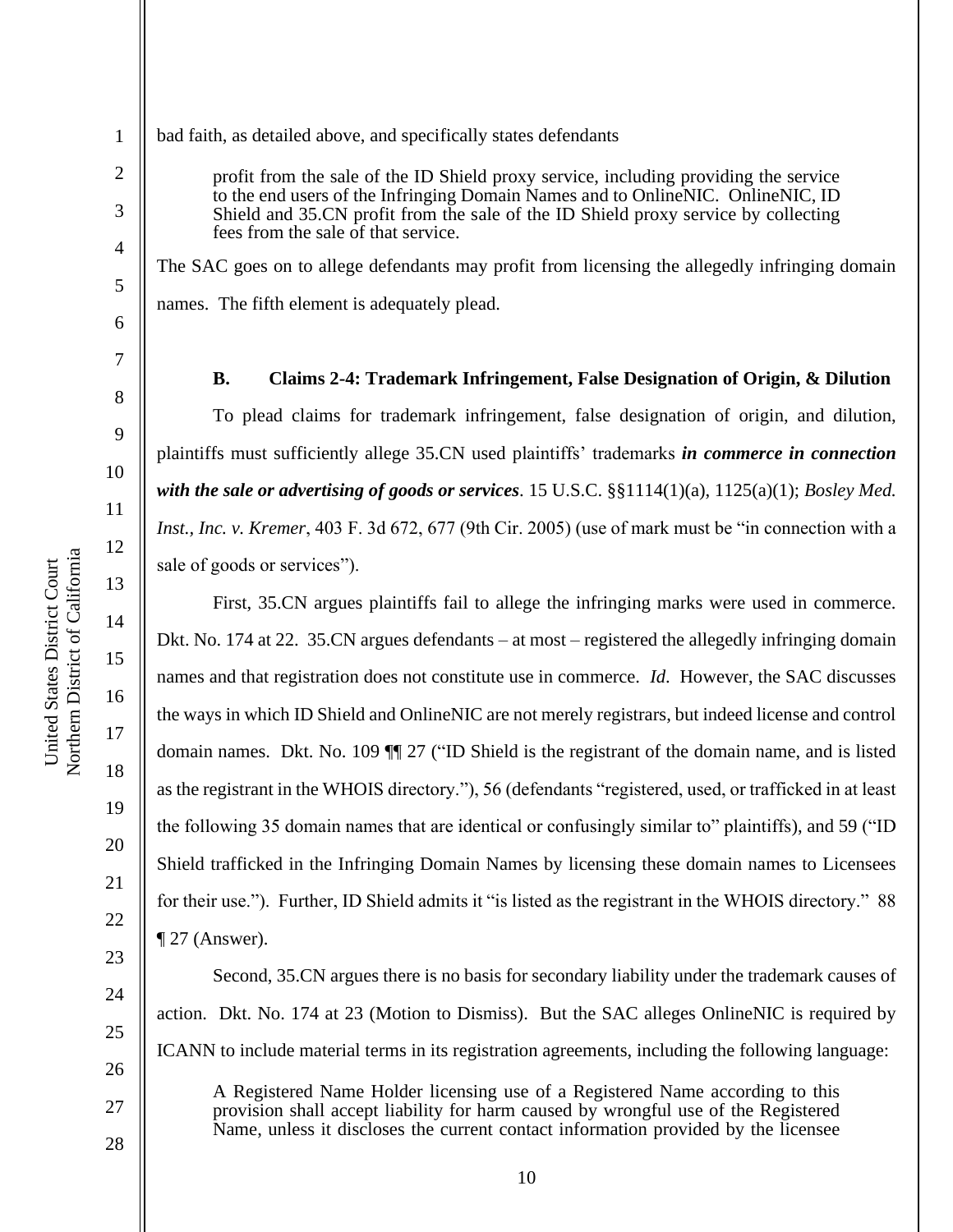4

5

6

7

8

9

10

11

12

13

14

15

16

17

18

19

20

21

22

23

24

25

26

27

28

1

bad faith, as detailed above, and specifically states defendants

profit from the sale of the ID Shield proxy service, including providing the service to the end users of the Infringing Domain Names and to OnlineNIC. OnlineNIC, ID Shield and 35.CN profit from the sale of the ID Shield proxy service by collecting fees from the sale of that service.

The SAC goes on to allege defendants may profit from licensing the allegedly infringing domain names. The fifth element is adequately plead.

**B. Claims 2-4: Trademark Infringement, False Designation of Origin, & Dilution** To plead claims for trademark infringement, false designation of origin, and dilution, plaintiffs must sufficiently allege 35.CN used plaintiffs' trademarks *in commerce in connection with the sale or advertising of goods or services*. 15 U.S.C. §§1114(1)(a), 1125(a)(1); *Bosley Med. Inst., Inc. v. Kremer*, 403 F. 3d 672, 677 (9th Cir. 2005) (use of mark must be "in connection with a sale of goods or services").

First, 35.CN argues plaintiffs fail to allege the infringing marks were used in commerce. Dkt. No. 174 at 22. 35.CN argues defendants – at most – registered the allegedly infringing domain names and that registration does not constitute use in commerce. *Id*. However, the SAC discusses the ways in which ID Shield and OnlineNIC are not merely registrars, but indeed license and control domain names. Dkt. No. 109 ¶¶ 27 ("ID Shield is the registrant of the domain name, and is listed as the registrant in the WHOIS directory."), 56 (defendants "registered, used, or trafficked in at least the following 35 domain names that are identical or confusingly similar to" plaintiffs), and 59 ("ID Shield trafficked in the Infringing Domain Names by licensing these domain names to Licensees for their use."). Further, ID Shield admits it "is listed as the registrant in the WHOIS directory." 88  $\P$  27 (Answer).

Second, 35.CN argues there is no basis for secondary liability under the trademark causes of action. Dkt. No. 174 at 23 (Motion to Dismiss). But the SAC alleges OnlineNIC is required by ICANN to include material terms in its registration agreements, including the following language: A Registered Name Holder licensing use of a Registered Name according to this provision shall accept liability for harm caused by wrongful use of the Registered Name, unless it discloses the current contact information provided by the licensee